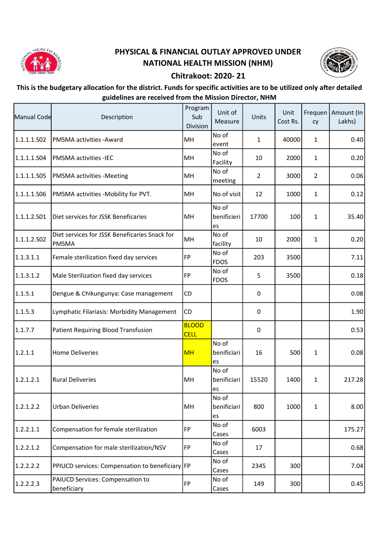

## PHYSICAL & FINANCIAL OUTLAY APPROVED UNDER NATIONAL HEALTH MISSION (NHM)



## Chitrakoot: 2020- 21

## This is the budgetary allocation for the district. Funds for specific activities are to be utilized only after detailed guidelines are received from the Mission Director, NHM

| Manual Code | Description                                                   | Program<br>Sub<br><b>Division</b> | Unit of<br>Measure         | Units          | Unit<br>Cost Rs. | cy             | Frequen   Amount (In<br>Lakhs) |
|-------------|---------------------------------------------------------------|-----------------------------------|----------------------------|----------------|------------------|----------------|--------------------------------|
| 1.1.1.1.502 | PMSMA activities - Award                                      | MH                                | No of<br>event             | $\mathbf{1}$   | 40000            | $\mathbf{1}$   | 0.40                           |
| 1.1.1.1.S04 | <b>PMSMA activities -IEC</b>                                  | MH                                | No of<br>Facility          | 10             | 2000             | $\mathbf{1}$   | 0.20                           |
| 1.1.1.1.S05 | <b>PMSMA</b> activities -Meeting                              | MH                                | No of<br>meeting           | $\overline{2}$ | 3000             | $\overline{2}$ | 0.06                           |
| 1.1.1.1.S06 | PMSMA activities -Mobility for PVT.                           | MH                                | No of visit                | 12             | 1000             | 1              | 0.12                           |
| 1.1.1.2.501 | Diet services for JSSK Beneficaries                           | MH                                | No of<br>benificieri<br>es | 17700          | 100              | $\mathbf{1}$   | 35.40                          |
| 1.1.1.2.502 | Diet services for JSSK Beneficaries Snack for<br><b>PMSMA</b> | MH                                | No of<br>facility          | 10             | 2000             | $\mathbf{1}$   | 0.20                           |
| 1.1.3.1.1   | Female sterilization fixed day services                       | FP                                | No of<br><b>FDOS</b>       | 203            | 3500             |                | 7.11                           |
| 1.1.3.1.2   | Male Sterilization fixed day services                         | FP                                | No of<br><b>FDOS</b>       | 5              | 3500             |                | 0.18                           |
| 1.1.5.1     | Dengue & Chikungunya: Case management                         | CD                                |                            | 0              |                  |                | 0.08                           |
| 1.1.5.3     | Lymphatic Filariasis: Morbidity Management                    | CD                                |                            | 0              |                  |                | 1.90                           |
| 1.1.7.7     | Patient Requiring Blood Transfusion                           | <b>BLOOD</b><br><b>CELL</b>       |                            | 0              |                  |                | 0.53                           |
| 1.2.1.1     | <b>Home Deliveries</b>                                        | <b>MH</b>                         | No of<br>benificiari<br>es | 16             | 500              | $\mathbf{1}$   | 0.08                           |
| 1.2.1.2.1   | <b>Rural Deliveries</b>                                       | MH                                | No of<br>benificiari<br>es | 15520          | 1400             | $\mathbf{1}$   | 217.28                         |
| 1.2.1.2.2   | <b>Urban Deliveries</b>                                       | MH                                | No of<br>benificiari<br>es | 800            | 1000             | $\mathbf{1}$   | 8.00                           |
| 1.2.2.1.1   | Compensation for female sterilization                         | <b>FP</b>                         | No of<br>Cases             | 6003           |                  |                | 175.27                         |
| 1.2.2.1.2   | Compensation for male sterilization/NSV                       | <b>FP</b>                         | No of<br>Cases             | 17             |                  |                | 0.68                           |
| 1.2.2.2.2   | PPIUCD services: Compensation to beneficiary FP               |                                   | No of<br>Cases             | 2345           | 300              |                | 7.04                           |
| 1.2.2.2.3   | PAIUCD Services: Compensation to<br>beneficiary               | <b>FP</b>                         | No of<br>Cases             | 149            | 300              |                | 0.45                           |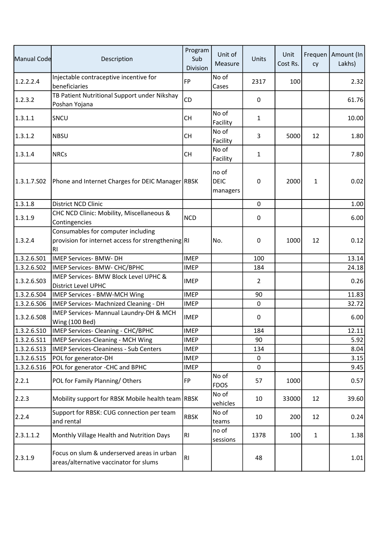| Manual Code | Description                                                                                    | Program<br>Sub<br>Division | Unit of<br>Measure               | Units          | Unit<br>Cost Rs. | cy | Frequen   Amount (In<br>Lakhs) |
|-------------|------------------------------------------------------------------------------------------------|----------------------------|----------------------------------|----------------|------------------|----|--------------------------------|
| 1.2.2.2.4   | Injectable contraceptive incentive for<br>beneficiaries                                        | FP                         | No of<br>Cases                   | 2317           | 100              |    | 2.32                           |
| 1.2.3.2     | TB Patient Nutritional Support under Nikshay<br>Poshan Yojana                                  | <b>CD</b>                  |                                  | 0              |                  |    | 61.76                          |
| 1.3.1.1     | SNCU                                                                                           | СH                         | No of<br>Facility                | 1              |                  |    | 10.00                          |
| 1.3.1.2     | <b>NBSU</b>                                                                                    | <b>CH</b>                  | No of<br>Facility                | 3              | 5000             | 12 | 1.80                           |
| 1.3.1.4     | <b>NRCs</b>                                                                                    | <b>CH</b>                  | No of<br>Facility                | 1              |                  |    | 7.80                           |
| 1.3.1.7.S02 | Phone and Internet Charges for DEIC Manager RBSK                                               |                            | no of<br><b>DEIC</b><br>managers | 0              | 2000             | 1  | 0.02                           |
| 1.3.1.8     | District NCD Clinic                                                                            |                            |                                  | 0              |                  |    | 1.00                           |
| 1.3.1.9     | CHC NCD Clinic: Mobility, Miscellaneous &<br>Contingencies                                     | <b>NCD</b>                 |                                  | 0              |                  |    | 6.00                           |
| 1.3.2.4     | Consumables for computer including<br>provision for internet access for strengthening RI<br>RI |                            | No.                              | 0              | 1000             | 12 | 0.12                           |
| 1.3.2.6.S01 | <b>IMEP Services- BMW- DH</b>                                                                  | <b>IMEP</b>                |                                  | 100            |                  |    | 13.14                          |
| 1.3.2.6.502 | IMEP Services- BMW- CHC/BPHC                                                                   | <b>IMEP</b>                |                                  | 184            |                  |    | 24.18                          |
| 1.3.2.6.503 | IMEP Services- BMW Block Level UPHC &<br>District Level UPHC                                   | <b>IMEP</b>                |                                  | $\overline{2}$ |                  |    | 0.26                           |
| 1.3.2.6.504 | IMEP Services - BMW-MCH Wing                                                                   | <b>IMEP</b>                |                                  | 90             |                  |    | 11.83                          |
| 1.3.2.6.506 | IMEP Services- Machnized Cleaning - DH                                                         | <b>IMEP</b>                |                                  | 0              |                  |    | 32.72                          |
| 1.3.2.6.508 | IMEP Services- Mannual Laundry-DH & MCH<br>Wing (100 Bed)                                      | <b>IMEP</b>                |                                  | 0              |                  |    | 6.00                           |
| 1.3.2.6.510 | IMEP Services- Cleaning - CHC/BPHC                                                             | <b>IMEP</b>                |                                  | 184            |                  |    | 12.11                          |
| 1.3.2.6.511 | IMEP Services-Cleaning - MCH Wing                                                              | <b>IMEP</b>                |                                  | 90             |                  |    | 5.92                           |
| 1.3.2.6.513 | <b>IMEP Services-Cleaniness - Sub Centers</b>                                                  | <b>IMEP</b>                |                                  | 134            |                  |    | 8.04                           |
| 1.3.2.6.S15 | POL for generator-DH                                                                           | <b>IMEP</b>                |                                  | 0              |                  |    | 3.15                           |
| 1.3.2.6.516 | POL for generator -CHC and BPHC                                                                | <b>IMEP</b>                |                                  | 0              |                  |    | 9.45                           |
| 2.2.1       | POL for Family Planning/Others                                                                 | FP                         | No of<br><b>FDOS</b>             | 57             | 1000             |    | 0.57                           |
| 2.2.3       | Mobility support for RBSK Mobile health team RBSK                                              |                            | No of<br>vehicles                | 10             | 33000            | 12 | 39.60                          |
| 2.2.4       | Support for RBSK: CUG connection per team<br>and rental                                        | <b>RBSK</b>                | No of<br>teams                   | 10             | 200              | 12 | 0.24                           |
| 2.3.1.1.2   | Monthly Village Health and Nutrition Days                                                      | RI                         | no of<br>sessions                | 1378           | 100              | 1  | 1.38                           |
| 2.3.1.9     | Focus on slum & underserved areas in urban<br>areas/alternative vaccinator for slums           | RI                         |                                  | 48             |                  |    | 1.01                           |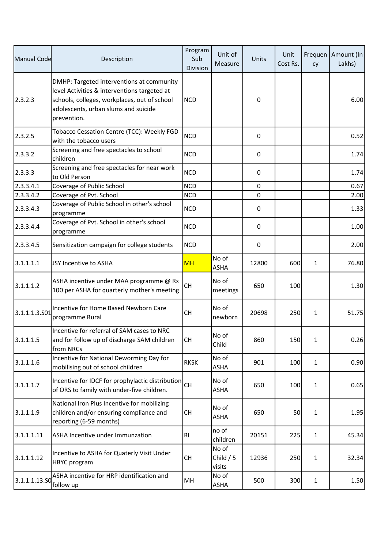| Manual Code   | Description                                                                                                                                                                                      | Program<br>Sub<br>Division | Unit of<br>Measure            | Units       | Unit<br>Cost Rs. | cy           | Frequen   Amount (In<br>Lakhs) |
|---------------|--------------------------------------------------------------------------------------------------------------------------------------------------------------------------------------------------|----------------------------|-------------------------------|-------------|------------------|--------------|--------------------------------|
| 2.3.2.3       | DMHP: Targeted interventions at community<br>level Activities & interventions targeted at<br>schools, colleges, workplaces, out of school<br>adolescents, urban slums and suicide<br>prevention. | <b>NCD</b>                 |                               | 0           |                  |              | 6.00                           |
| 2.3.2.5       | Tobacco Cessation Centre (TCC): Weekly FGD<br>with the tobacco users                                                                                                                             | <b>NCD</b>                 |                               | 0           |                  |              | 0.52                           |
| 2.3.3.2       | Screening and free spectacles to school<br>children                                                                                                                                              | <b>NCD</b>                 |                               | 0           |                  |              | 1.74                           |
| 2.3.3.3       | Screening and free spectacles for near work<br>to Old Person                                                                                                                                     | <b>NCD</b>                 |                               | 0           |                  |              | 1.74                           |
| 2.3.3.4.1     | Coverage of Public School                                                                                                                                                                        | <b>NCD</b>                 |                               | 0           |                  |              | 0.67                           |
| 2.3.3.4.2     | Coverage of Pvt. School                                                                                                                                                                          | <b>NCD</b>                 |                               | $\mathbf 0$ |                  |              | 2.00                           |
| 2.3.3.4.3     | Coverage of Public School in other's school<br>programme                                                                                                                                         | <b>NCD</b>                 |                               | 0           |                  |              | 1.33                           |
| 2.3.3.4.4     | Coverage of Pvt. School in other's school<br>programme                                                                                                                                           | <b>NCD</b>                 |                               | 0           |                  |              | 1.00                           |
| 2.3.3.4.5     | Sensitization campaign for college students                                                                                                                                                      | <b>NCD</b>                 |                               | 0           |                  |              | 2.00                           |
| 3.1.1.1.1     | JSY Incentive to ASHA                                                                                                                                                                            | <b>MH</b>                  | No of<br><b>ASHA</b>          | 12800       | 600              | $\mathbf{1}$ | 76.80                          |
| 3.1.1.1.2     | ASHA incentive under MAA programme @ Rs<br>100 per ASHA for quarterly mother's meeting                                                                                                           | <b>CH</b>                  | No of<br>meetings             | 650         | 100              |              | 1.30                           |
| 3.1.1.1.3.501 | Incentive for Home Based Newborn Care<br>programme Rural                                                                                                                                         | <b>CH</b>                  | No of<br>newborn              | 20698       | 250              | 1            | 51.75                          |
| 3.1.1.1.5     | Incentive for referral of SAM cases to NRC<br>and for follow up of discharge SAM children<br>from NRCs                                                                                           | CH                         | No of<br>Child                | 860         | 150              | 1            | 0.26                           |
| 3.1.1.1.6     | Incentive for National Deworming Day for<br>mobilising out of school children                                                                                                                    | <b>RKSK</b>                | No of<br><b>ASHA</b>          | 901         | 100              | 1            | 0.90                           |
| 3.1.1.1.7     | Incentive for IDCF for prophylactic distribution<br>of ORS to family with under-five children.                                                                                                   | <b>CH</b>                  | No of<br><b>ASHA</b>          | 650         | 100              | 1            | 0.65                           |
| 3.1.1.1.9     | National Iron Plus Incentive for mobilizing<br>children and/or ensuring compliance and<br>reporting (6-59 months)                                                                                | <b>CH</b>                  | No of<br><b>ASHA</b>          | 650         | 50               | 1            | 1.95                           |
| 3.1.1.1.11    | ASHA Incentive under Immunzation                                                                                                                                                                 | R <sub>l</sub>             | no of<br>children             | 20151       | 225              | $\mathbf{1}$ | 45.34                          |
| 3.1.1.1.12    | Incentive to ASHA for Quaterly Visit Under<br>HBYC program                                                                                                                                       | CH                         | No of<br>Child $/5$<br>visits | 12936       | 250              | $\mathbf{1}$ | 32.34                          |
| 3.1.1.1.13.SO | ASHA incentive for HRP identification and<br>follow up                                                                                                                                           | MH                         | No of<br><b>ASHA</b>          | 500         | 300              | 1            | 1.50                           |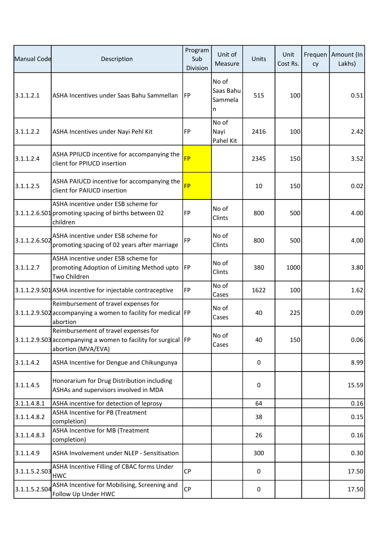| Manual Code   | Description                                                                                                                  | Program<br>Sub<br>Division | Unit of<br>Measure                 | Units | Unit<br>Cost Rs. | cy | Frequen   Amount (In<br>Lakhs) |
|---------------|------------------------------------------------------------------------------------------------------------------------------|----------------------------|------------------------------------|-------|------------------|----|--------------------------------|
| 3.1.1.2.1     | ASHA Incentives under Saas Bahu Sammellan                                                                                    | <b>IFP</b>                 | No of<br>Saas Bahu<br>Sammela<br>n | 515   | 100              |    | 0.51                           |
| 3.1.1.2.2     | ASHA Incentives under Nayi Pehl Kit                                                                                          | FP                         | No of<br>Nayi<br>Pahel Kit         | 2416  | 100              |    | 2.42                           |
| 3.1.1.2.4     | ASHA PPIUCD incentive for accompanying the<br>client for PPIUCD insertion                                                    | <b>FP</b>                  |                                    | 2345  | 150              |    | 3.52                           |
| 3.1.1.2.5     | ASHA PAIUCD incentive for accompanying the<br>client for PAIUCD insertion                                                    | <b>FP</b>                  |                                    | 10    | 150              |    | 0.02                           |
|               | ASHA incentive under ESB scheme for<br>3.1.1.2.6.S01 promoting spacing of births between 02<br>children                      | FP                         | No of<br>Clints                    | 800   | 500              |    | 4.00                           |
| 3.1.1.2.6.502 | ASHA incentive under ESB scheme for<br>promoting spacing of 02 years after marriage                                          | FP                         | No of<br>Clints                    | 800   | 500              |    | 4.00                           |
| 3.1.1.2.7     | ASHA incentive under ESB scheme for<br>promoting Adoption of Limiting Method upto<br>Two Children                            | <b>IFP</b>                 | No of<br>Clints                    | 380   | 1000             |    | 3.80                           |
|               | 3.1.1.2.9.S01 ASHA incentive for injectable contraceptive                                                                    | <b>FP</b>                  | No of<br>Cases                     | 1622  | 100              |    | 1.62                           |
|               | Reimbursement of travel expenses for<br>3.1.1.2.9.S02 accompanying a women to facility for medical FP<br>abortion            |                            | No of<br>Cases                     | 40    | 225              |    | 0.09                           |
|               | Reimbursement of travel expenses for<br>3.1.1.2.9.503 accompanying a women to facility for surgical FP<br>abortion (MVA/EVA) |                            | No of<br>Cases                     | 40    | 150              |    | 0.06                           |
| 3.1.1.4.2     | ASHA Incentive for Dengue and Chikungunya                                                                                    |                            |                                    | 0     |                  |    | 8.99                           |
| 3.1.1.4.5     | Honorarium for Drug Distribution including<br>ASHAs and supervisors involved in MDA                                          |                            |                                    | 0     |                  |    | 15.59                          |
| 3.1.1.4.8.1   | ASHA incentive for detection of leprosy                                                                                      |                            |                                    | 64    |                  |    | 0.16                           |
| 3.1.1.4.8.2   | ASHA Incentive for PB (Treatment<br>completion)                                                                              |                            |                                    | 38    |                  |    | 0.15                           |
| 3.1.1.4.8.3   | ASHA Incentive for MB (Treatment<br>completion)                                                                              |                            |                                    | 26    |                  |    | 0.16                           |
| 3.1.1.4.9     | ASHA Involvement under NLEP - Sensitisation                                                                                  |                            |                                    | 300   |                  |    | 0.30                           |
| 3.1.1.5.2.S03 | ASHA Incentive Filling of CBAC forms Under<br><b>HWC</b>                                                                     | <b>CP</b>                  |                                    | 0     |                  |    | 17.50                          |
| 3.1.1.5.2.S04 | ASHA Incentive for Mobilising, Screening and<br>Follow Up Under HWC                                                          | <b>CP</b>                  |                                    | 0     |                  |    | 17.50                          |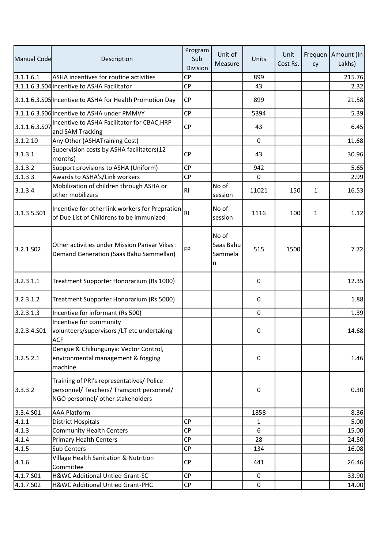| Manual Code   | Description                                                                                                                 | Program<br>Sub<br>Division | Unit of<br>Measure                 | Units       | Unit<br>Cost Rs. | cy           | Frequen   Amount (In<br>Lakhs) |
|---------------|-----------------------------------------------------------------------------------------------------------------------------|----------------------------|------------------------------------|-------------|------------------|--------------|--------------------------------|
| 3.1.1.6.1     | ASHA incentives for routine activities                                                                                      | <b>CP</b>                  |                                    | 899         |                  |              | 215.76                         |
|               | 3.1.1.6.3.S04 Incentive to ASHA Facilitator                                                                                 | CP                         |                                    | 43          |                  |              | 2.32                           |
|               | 3.1.1.6.3.S05 Incentive to ASHA for Health Promotion Day                                                                    | <b>CP</b>                  |                                    | 899         |                  |              | 21.58                          |
|               | 3.1.1.6.3.S06 Incentive to ASHA under PMMVY                                                                                 | <b>CP</b>                  |                                    | 5394        |                  |              | 5.39                           |
| 3.1.1.6.3.S07 | Incentive to ASHA Facilitator for CBAC, HRP<br>and SAM Tracking                                                             | <b>CP</b>                  |                                    | 43          |                  |              | 6.45                           |
| 3.1.2.10      | Any Other (ASHATraining Cost)                                                                                               |                            |                                    | $\mathbf 0$ |                  |              | 11.68                          |
| 3.1.3.1       | Supervision costs by ASHA facilitators(12<br>months)                                                                        | <b>CP</b>                  |                                    | 43          |                  |              | 30.96                          |
| 3.1.3.2       | Support provisions to ASHA (Uniform)                                                                                        | <b>CP</b>                  |                                    | 942         |                  |              | 5.65                           |
| 3.1.3.3       | Awards to ASHA's/Link workers                                                                                               | <b>CP</b>                  |                                    | 0           |                  |              | 2.99                           |
| 3.1.3.4       | Mobilization of children through ASHA or<br>other mobilizers                                                                | R <sub>1</sub>             | No of<br>session                   | 11021       | 150              | 1            | 16.53                          |
| 3.1.3.5.501   | Incentive for other link workers for Prepration<br>of Due List of Childrens to be immunized                                 | R <sub>1</sub>             | No of<br>session                   | 1116        | 100              | $\mathbf{1}$ | 1.12                           |
| 3.2.1.502     | Other activities under Mission Parivar Vikas:<br>Demand Generation (Saas Bahu Sammellan)                                    | FP                         | No of<br>Saas Bahu<br>Sammela<br>n | 515         | 1500             |              | 7.72                           |
| 3.2.3.1.1     | Treatment Supporter Honorarium (Rs 1000)                                                                                    |                            |                                    | 0           |                  |              | 12.35                          |
| 3.2.3.1.2     | Treatment Supporter Honorarium (Rs 5000)                                                                                    |                            |                                    | 0           |                  |              | 1.88                           |
| 3.2.3.1.3     | Incentive for informant (Rs 500)                                                                                            |                            |                                    | $\mathbf 0$ |                  |              | 1.39                           |
| 3.2.3.4.S01   | Incentive for community<br>volunteers/supervisors /LT etc undertaking<br><b>ACF</b>                                         |                            |                                    | 0           |                  |              | 14.68                          |
| 3.2.5.2.1     | Dengue & Chikungunya: Vector Control,<br>environmental management & fogging<br>machine                                      |                            |                                    | 0           |                  |              | 1.46                           |
| 3.3.3.2       | Training of PRI's representatives/ Police<br>personnel/ Teachers/ Transport personnel/<br>NGO personnel/ other stakeholders |                            |                                    | 0           |                  |              | 0.30                           |
| 3.3.4.501     | <b>AAA Platform</b>                                                                                                         |                            |                                    | 1858        |                  |              | 8.36                           |
| 4.1.1         | <b>District Hospitals</b>                                                                                                   | <b>CP</b>                  |                                    | 1           |                  |              | 5.00                           |
| 4.1.3         | <b>Community Health Centers</b>                                                                                             | <b>CP</b>                  |                                    | 6           |                  |              | 15.00                          |
| 4.1.4         | <b>Primary Health Centers</b>                                                                                               | <b>CP</b>                  |                                    | 28          |                  |              | 24.50                          |
| 4.1.5         | Sub Centers                                                                                                                 | CP                         |                                    | 134         |                  |              | 16.08                          |
| 4.1.6         | Village Health Sanitation & Nutrition<br>Committee                                                                          | <b>CP</b>                  |                                    | 441         |                  |              | 26.46                          |
| 4.1.7.S01     | H&WC Additional Untied Grant-SC                                                                                             | <b>CP</b>                  |                                    | 0           |                  |              | 33.90                          |
| 4.1.7.502     | H&WC Additional Untied Grant-PHC                                                                                            | <b>CP</b>                  |                                    | $\pmb{0}$   |                  |              | 14.00                          |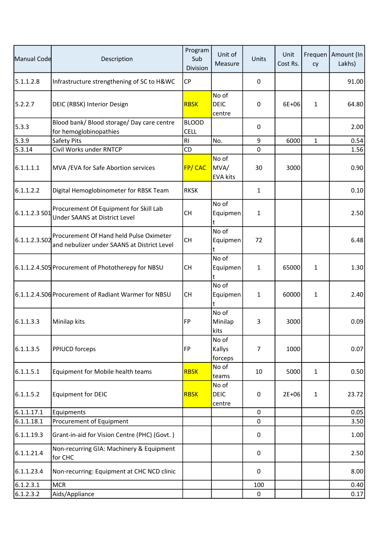| Manual Code   | Description                                                                            | Program<br>Sub<br>Division  | Unit of<br>Measure               | Units        | Unit<br>Cost Rs. | cy           | Frequen   Amount (In<br>Lakhs) |
|---------------|----------------------------------------------------------------------------------------|-----------------------------|----------------------------------|--------------|------------------|--------------|--------------------------------|
| 5.1.1.2.8     | Infrastructure strengthening of SC to H&WC                                             | <b>CP</b>                   |                                  | $\mathsf 0$  |                  |              | 91.00                          |
| 5.2.2.7       | DEIC (RBSK) Interior Design                                                            | <b>RBSK</b>                 | No of<br><b>DEIC</b><br>centre   | 0            | $6E + 06$        | $\mathbf{1}$ | 64.80                          |
| 5.3.3         | Blood bank/ Blood storage/ Day care centre<br>for hemoglobinopathies                   | <b>BLOOD</b><br><b>CELL</b> |                                  | 0            |                  |              | 2.00                           |
| 5.3.9         | <b>Safety Pits</b>                                                                     | RI                          | No.                              | 9            | 6000             | $\mathbf{1}$ | 0.54                           |
| 5.3.14        | Civil Works under RNTCP                                                                | CD                          |                                  | 0            |                  |              | 1.56                           |
| 6.1.1.1.1     | MVA / EVA for Safe Abortion services                                                   | <b>FP/CAC</b>               | No of<br>MVA/<br><b>EVA kits</b> | 30           | 3000             |              | 0.90                           |
| 6.1.1.2.2     | Digital Hemoglobinometer for RBSK Team                                                 | <b>RKSK</b>                 |                                  | $\mathbf{1}$ |                  |              | 0.10                           |
| 6.1.1.2.3 S01 | Procurement Of Equipment for Skill Lab<br><b>Under SAANS at District Level</b>         | <b>CH</b>                   | No of<br>Equipmen<br>t           | $\mathbf{1}$ |                  |              | 2.50                           |
| 6.1.1.2.3.502 | Procurement Of Hand held Pulse Oximeter<br>and nebulizer under SAANS at District Level | <b>CH</b>                   | No of<br>Equipmen<br>t           | 72           |                  |              | 6.48                           |
|               | 6.1.1.2.4.S05 Procurement of Phototherepy for NBSU                                     | <b>CH</b>                   | No of<br>Equipmen<br>t           | $\mathbf{1}$ | 65000            | 1            | 1.30                           |
|               | 6.1.1.2.4.S06 Procurement of Radiant Warmer for NBSU                                   | <b>CH</b>                   | No of<br>Equipmen<br>t           | $\mathbf{1}$ | 60000            | 1            | 2.40                           |
| 6.1.1.3.3     | Minilap kits                                                                           | FP                          | No of<br>Minilap<br>kits         | 3            | 3000             |              | 0.09                           |
| 6.1.1.3.5     | <b>PPIUCD forceps</b>                                                                  | FP                          | No of<br>Kallys<br>forceps       | 7            | 1000             |              | 0.07                           |
| 6.1.1.5.1     | Equipment for Mobile health teams                                                      | <b>RBSK</b>                 | No of<br>teams                   | 10           | 5000             | 1            | 0.50                           |
| 6.1.1.5.2     | <b>Equipment for DEIC</b>                                                              | <b>RBSK</b>                 | No of<br><b>DEIC</b><br>centre   | 0            | $2E + 06$        | 1            | 23.72                          |
| 6.1.1.17.1    | Equipments                                                                             |                             |                                  | 0            |                  |              | 0.05                           |
| 6.1.1.18.1    | Procurement of Equipment                                                               |                             |                                  | 0            |                  |              | 3.50                           |
| 6.1.1.19.3    | Grant-in-aid for Vision Centre (PHC) (Govt.)                                           |                             |                                  | 0            |                  |              | 1.00                           |
| 6.1.1.21.4    | Non-recurring GIA: Machinery & Equipment<br>for CHC                                    |                             |                                  | 0            |                  |              | 2.50                           |
| 6.1.1.23.4    | Non-recurring: Equipment at CHC NCD clinic                                             |                             |                                  | 0            |                  |              | 8.00                           |
| 6.1.2.3.1     | <b>MCR</b>                                                                             |                             |                                  | 100          |                  |              | 0.40                           |
| 6.1.2.3.2     | Aids/Appliance                                                                         |                             |                                  | $\pmb{0}$    |                  |              | 0.17                           |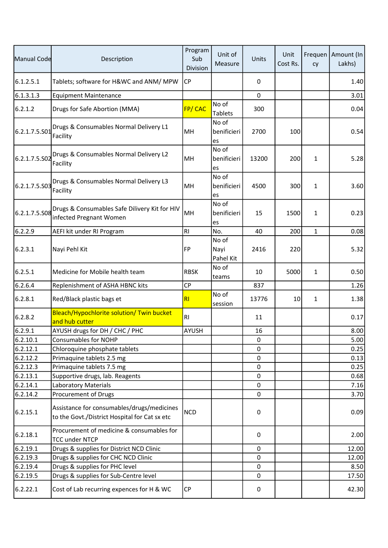| Manual Code   | Description                                                                                 | Program<br>Sub<br>Division | Unit of<br>Measure         | Units | Unit<br>Cost Rs. | cy           | Frequen   Amount (In<br>Lakhs) |
|---------------|---------------------------------------------------------------------------------------------|----------------------------|----------------------------|-------|------------------|--------------|--------------------------------|
| 6.1.2.5.1     | Tablets; software for H&WC and ANM/ MPW                                                     | <b>CP</b>                  |                            | 0     |                  |              | 1.40                           |
| 6.1.3.1.3     | <b>Equipment Maintenance</b>                                                                |                            |                            | 0     |                  |              | 3.01                           |
| 6.2.1.2       | Drugs for Safe Abortion (MMA)                                                               | <b>FP/CAC</b>              | No of<br><b>Tablets</b>    | 300   |                  |              | 0.04                           |
| 6.2.1.7.5.S01 | Drugs & Consumables Normal Delivery L1<br>Facility                                          | MH                         | No of<br>benificieri<br>es | 2700  | 100              |              | 0.54                           |
| 6.2.1.7.5.S02 | Drugs & Consumables Normal Delivery L2<br>Facility                                          | MH                         | No of<br>benificieri<br>es | 13200 | 200              | $\mathbf{1}$ | 5.28                           |
| 6.2.1.7.5.S03 | Drugs & Consumables Normal Delivery L3<br>Facility                                          | MH                         | No of<br>benificieri<br>es | 4500  | 300              | 1            | 3.60                           |
| 6.2.1.7.5.S08 | Drugs & Consumables Safe Dilivery Kit for HIV<br>infected Pregnant Women                    | MH                         | No of<br>benificieri<br>es | 15    | 1500             | 1            | 0.23                           |
| 6.2.2.9       | AEFI kit under RI Program                                                                   | R <sub>l</sub>             | No.                        | 40    | 200              | $\mathbf{1}$ | 0.08                           |
| 6.2.3.1       | Nayi Pehl Kit                                                                               | FP                         | No of<br>Nayi<br>Pahel Kit | 2416  | 220              |              | 5.32                           |
| 6.2.5.1       | Medicine for Mobile health team                                                             | <b>RBSK</b>                | No of<br>teams             | 10    | 5000             | $\mathbf{1}$ | 0.50                           |
| 6.2.6.4       | Replenishment of ASHA HBNC kits                                                             | <b>CP</b>                  |                            | 837   |                  |              | 1.26                           |
| 6.2.8.1       | Red/Black plastic bags et                                                                   | R <sub>l</sub>             | No of<br>session           | 13776 | 10               | $\mathbf{1}$ | 1.38                           |
| 6.2.8.2       | Bleach/Hypochlorite solution/ Twin bucket<br>and hub cutter                                 | R <sub>l</sub>             |                            | 11    |                  |              | 0.17                           |
| 6.2.9.1       | AYUSH drugs for DH / CHC / PHC                                                              | <b>AYUSH</b>               |                            | 16    |                  |              | 8.00                           |
| 6.2.10.1      | <b>Consumables for NOHP</b>                                                                 |                            |                            | 0     |                  |              | 5.00                           |
| 6.2.12.1      | Chloroquine phosphate tablets                                                               |                            |                            | 0     |                  |              | 0.25                           |
| 6.2.12.2      | Primaquine tablets 2.5 mg                                                                   |                            |                            | 0     |                  |              | 0.13                           |
| 6.2.12.3      | Primaquine tablets 7.5 mg                                                                   |                            |                            | 0     |                  |              | 0.25                           |
| 6.2.13.1      | Supportive drugs, lab. Reagents                                                             |                            |                            | 0     |                  |              | 0.68                           |
| 6.2.14.1      | <b>Laboratory Materials</b>                                                                 |                            |                            | 0     |                  |              | 7.16                           |
| 6.2.14.2      | Procurement of Drugs                                                                        |                            |                            | 0     |                  |              | 3.70                           |
| 6.2.15.1      | Assistance for consumables/drugs/medicines<br>to the Govt./District Hospital for Cat sx etc | <b>NCD</b>                 |                            | 0     |                  |              | 0.09                           |
| 6.2.18.1      | Procurement of medicine & consumables for<br><b>TCC under NTCP</b>                          |                            |                            | 0     |                  |              | 2.00                           |
| 6.2.19.1      | Drugs & supplies for District NCD Clinic                                                    |                            |                            | 0     |                  |              | 12.00                          |
| 6.2.19.3      | Drugs & supplies for CHC NCD Clinic                                                         |                            |                            | 0     |                  |              | 12.00                          |
| 6.2.19.4      | Drugs & supplies for PHC level                                                              |                            |                            | 0     |                  |              | 8.50                           |
| 6.2.19.5      | Drugs & supplies for Sub-Centre level                                                       |                            |                            | 0     |                  |              | 17.50                          |
| 6.2.22.1      | Cost of Lab recurring expences for H & WC                                                   | <b>CP</b>                  |                            | 0     |                  |              | 42.30                          |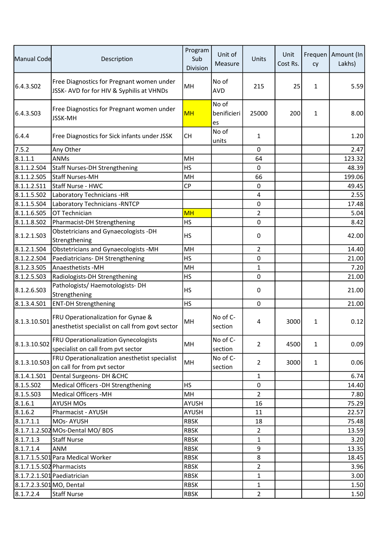| Manual Code               | Description                                                                            | Program<br>Sub<br>Division | Unit of<br>Measure         | Units          | Unit<br>Cost Rs. | cy           | Frequen   Amount (In<br>Lakhs) |
|---------------------------|----------------------------------------------------------------------------------------|----------------------------|----------------------------|----------------|------------------|--------------|--------------------------------|
| 6.4.3.SO <sub>2</sub>     | Free Diagnostics for Pregnant women under<br>JSSK- AVD for for HIV & Syphilis at VHNDs | MH                         | No of<br><b>AVD</b>        | 215            | 25               | $\mathbf{1}$ | 5.59                           |
| 6.4.3.503                 | Free Diagnostics for Pregnant women under<br><b>JSSK-MH</b>                            | <b>MH</b>                  | No of<br>benificieri<br>es | 25000          | 200              | 1            | 8.00                           |
| 6.4.4                     | Free Diagnostics for Sick infants under JSSK                                           | <b>CH</b>                  | No of<br>units             | 1              |                  |              | 1.20                           |
| 7.5.2                     | Any Other                                                                              |                            |                            | 0              |                  |              | 2.47                           |
| 8.1.1.1                   | <b>ANMs</b>                                                                            | MH                         |                            | 64             |                  |              | 123.32                         |
| 8.1.1.2.504               | Staff Nurses-DH Strengthening                                                          | <b>HS</b>                  |                            | $\mathbf 0$    |                  |              | 48.39                          |
| 8.1.1.2.S05               | lStaff Nurses-MH                                                                       | MH                         |                            | 66             |                  |              | 199.06                         |
| 8.1.1.2.511               | Staff Nurse - HWC                                                                      | <b>CP</b>                  |                            | 0              |                  |              | 49.45                          |
| 8.1.1.5.S02               | Laboratory Technicians -HR                                                             |                            |                            | $\overline{4}$ |                  |              | 2.55                           |
| 8.1.1.5.S04               | Laboratory Technicians - RNTCP                                                         |                            |                            | 0              |                  |              | 17.48                          |
| 8.1.1.6.S05               | OT Technician                                                                          | <b>MH</b>                  |                            | $\overline{2}$ |                  |              | 5.04                           |
| 8.1.1.8.502               | Pharmacist-DH Strengthening                                                            | <b>HS</b>                  |                            | $\mathbf 0$    |                  |              | 8.42                           |
| 8.1.2.1.503               | <b>Obstetricians and Gynaecologists -DH</b><br>Strengthening                           | <b>HS</b>                  |                            | 0              |                  |              | 42.00                          |
| 8.1.2.1.S04               | Obstetricians and Gynaecologists -MH                                                   | MH                         |                            | $\overline{2}$ |                  |              | 14.40                          |
| 8.1.2.2.504               | Paediatricians- DH Strengthening                                                       | <b>HS</b>                  |                            | 0              |                  |              | 21.00                          |
| 8.1.2.3.S05               | <b>Anaesthetists -MH</b>                                                               | MH                         |                            | $\mathbf{1}$   |                  |              | 7.20                           |
| 8.1.2.5.S03               | Radiologists-DH Strengthening                                                          | <b>HS</b>                  |                            | $\mathbf 0$    |                  |              | 21.00                          |
| 8.1.2.6.S03               | Pathologists/ Haemotologists-DH<br>Strengthening                                       | <b>HS</b>                  |                            | 0              |                  |              | 21.00                          |
| 8.1.3.4.501               | <b>ENT-DH Strengthening</b>                                                            | <b>HS</b>                  |                            | $\Omega$       |                  |              | 21.00                          |
| 8.1.3.10.501              | FRU Operationalization for Gynae &<br>anesthetist specialist on call from govt sector  | MH                         | No of C-<br>section        | 4              | 3000             | 1            | 0.12                           |
| 8.1.3.10.S02              | FRU Operationalization Gynecologists<br>specialist on call from pvt sector             | MH                         | No of C-<br>section        | $\overline{2}$ | 4500             | $\mathbf{1}$ | 0.09                           |
| 8.1.3.10.S03              | FRU Operationalization anesthetist specialist<br>on call for from pvt sector           | MH                         | No of C-<br>section        | $\overline{2}$ | 3000             | $\mathbf{1}$ | 0.06                           |
| 8.1.4.1.501               | Dental Surgeons- DH & CHC                                                              |                            |                            | 1              |                  |              | 6.74                           |
| 8.1.5.502                 | Medical Officers -DH Strengthening                                                     | <b>HS</b>                  |                            | 0              |                  |              | 14.40                          |
| 8.1.5.503                 | <b>Medical Officers -MH</b>                                                            | MH                         |                            | $\overline{2}$ |                  |              | 7.80                           |
| 8.1.6.1                   | <b>AYUSH MOs</b>                                                                       | AYUSH                      |                            | 16             |                  |              | 75.29                          |
| 8.1.6.2                   | Pharmacist - AYUSH                                                                     | <b>AYUSH</b>               |                            | 11             |                  |              | 22.57                          |
| 8.1.7.1.1                 | MOs-AYUSH                                                                              | <b>RBSK</b>                |                            | 18             |                  |              | 75.48                          |
|                           | 8.1.7.1.2.S02 MOs-Dental MO/ BDS                                                       | <b>RBSK</b>                |                            | $\overline{2}$ |                  |              | 13.59                          |
| 8.1.7.1.3                 | <b>Staff Nurse</b>                                                                     | <b>RBSK</b>                |                            | 1              |                  |              | 3.20                           |
| 8.1.7.1.4                 | <b>ANM</b>                                                                             | <b>RBSK</b>                |                            | 9              |                  |              | 13.35                          |
|                           | 8.1.7.1.5.S01 Para Medical Worker                                                      | <b>RBSK</b>                |                            | 8              |                  |              | 18.45                          |
| 8.1.7.1.5.S02 Pharmacists |                                                                                        | <b>RBSK</b>                |                            | $\overline{2}$ |                  |              | 3.96                           |
|                           | 8.1.7.2.1.S01 Paediatrician                                                            | RBSK                       |                            | $\mathbf{1}$   |                  |              | 3.00                           |
| 8.1.7.2.3.S01 MO, Dental  |                                                                                        | <b>RBSK</b>                |                            | 1              |                  |              | 1.50                           |
| 8.1.7.2.4                 | <b>Staff Nurse</b>                                                                     | <b>RBSK</b>                |                            | $\overline{2}$ |                  |              | 1.50                           |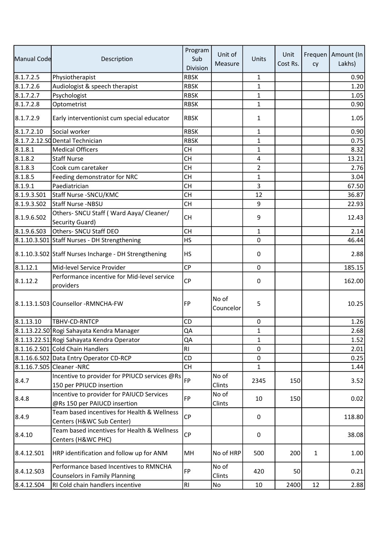|             |                                                                                | Program        | Unit of            |                | Unit     |              | Frequen   Amount (In |
|-------------|--------------------------------------------------------------------------------|----------------|--------------------|----------------|----------|--------------|----------------------|
| Manual Code | Description                                                                    | Sub            | Measure            | Units          | Cost Rs. | cy           | Lakhs)               |
|             |                                                                                | Division       |                    |                |          |              |                      |
| 8.1.7.2.5   | Physiotherapist                                                                | <b>RBSK</b>    |                    | 1              |          |              | 0.90                 |
| 8.1.7.2.6   | Audiologist & speech therapist                                                 | <b>RBSK</b>    |                    | $\mathbf{1}$   |          |              | 1.20                 |
| 8.1.7.2.7   | Psychologist                                                                   | <b>RBSK</b>    |                    | $\mathbf{1}$   |          |              | 1.05                 |
| 8.1.7.2.8   | Optometrist                                                                    | <b>RBSK</b>    |                    | $\mathbf{1}$   |          |              | 0.90                 |
| 8.1.7.2.9   | Early interventionist cum special educator                                     | <b>RBSK</b>    |                    | $\mathbf{1}$   |          |              | 1.05                 |
| 8.1.7.2.10  | Social worker                                                                  | <b>RBSK</b>    |                    | $\mathbf{1}$   |          |              | 0.90                 |
|             | 8.1.7.2.12.SODental Technician                                                 | <b>RBSK</b>    |                    | $\mathbf{1}$   |          |              | 0.75                 |
| 8.1.8.1     | <b>Medical Officers</b>                                                        | <b>CH</b>      |                    | $\mathbf{1}$   |          |              | 8.32                 |
| 8.1.8.2     | <b>Staff Nurse</b>                                                             | <b>CH</b>      |                    | 4              |          |              | 13.21                |
| 8.1.8.3     | Cook cum caretaker                                                             | <b>CH</b>      |                    | $\overline{2}$ |          |              | 2.76                 |
| 8.1.8.5     | Feeding demonstrator for NRC                                                   | <b>CH</b>      |                    | $\mathbf{1}$   |          |              | 3.04                 |
| 8.1.9.1     | Paediatrician                                                                  | <b>CH</b>      |                    | 3              |          |              | 67.50                |
| 8.1.9.3.S01 | Staff Nurse - SNCU/KMC                                                         | <b>CH</b>      |                    | 12             |          |              | 36.87                |
| 8.1.9.3.S02 | Staff Nurse -NBSU                                                              | CH             |                    | 9              |          |              | 22.93                |
| 8.1.9.6.502 | Others- SNCU Staff (Ward Aaya/ Cleaner/<br>Security Guard)                     | <b>CH</b>      |                    | 9              |          |              | 12.43                |
| 8.1.9.6.503 | Others- SNCU Staff DEO                                                         | <b>CH</b>      |                    | $\mathbf{1}$   |          |              | 2.14                 |
|             | 8.1.10.3.S01 Staff Nurses - DH Strengthening                                   | <b>HS</b>      |                    | $\mathbf 0$    |          |              | 46.44                |
|             | 8.1.10.3.S02 Staff Nurses Incharge - DH Strengthening                          | <b>HS</b>      |                    | 0              |          |              | 2.88                 |
| 8.1.12.1    | Mid-level Service Provider                                                     | <b>CP</b>      |                    | $\mathbf 0$    |          |              | 185.15               |
| 8.1.12.2    | Performance incentive for Mid-level service<br>providers                       | <b>CP</b>      |                    | 0              |          |              | 162.00               |
|             | 8.1.13.1.S03 Counsellor - RMNCHA-FW                                            | FP             | No of<br>Councelor | 5              |          |              | 10.25                |
| 8.1.13.10   | TBHV-CD-RNTCP                                                                  | <b>CD</b>      |                    | $\pmb{0}$      |          |              | 1.26                 |
|             | 8.1.13.22.S01Rogi Sahayata Kendra Manager                                      | QA             |                    | $\mathbf{1}$   |          |              | 2.68                 |
|             | 8.1.13.22.S1. Rogi Sahayata Kendra Operator                                    | QA             |                    | 1              |          |              | 1.52                 |
|             | 8.1.16.2.S01 Cold Chain Handlers                                               | R <sub>l</sub> |                    | 0              |          |              | 2.01                 |
|             | 8.1.16.6.S02 Data Entry Operator CD-RCP                                        | <b>CD</b>      |                    | $\pmb{0}$      |          |              | 0.25                 |
|             | 8.1.16.7.S05 Cleaner -NRC                                                      | <b>CH</b>      |                    | $\mathbf{1}$   |          |              | 1.44                 |
| 8.4.7       | Incentive to provider for PPIUCD services @Rs<br>150 per PPIUCD insertion      | FP             | No of<br>Clints    | 2345           | 150      |              | 3.52                 |
| 8.4.8       | Incentive to provider for PAIUCD Services<br>@Rs 150 per PAIUCD insertion      | FP             | No of<br>Clints    | 10             | 150      |              | 0.02                 |
| 8.4.9       | Team based incentives for Health & Wellness<br>Centers (H&WC Sub Center)       | <b>CP</b>      |                    | 0              |          |              | 118.80               |
| 8.4.10      | Team based incentives for Health & Wellness<br>Centers (H&WC PHC)              | <b>CP</b>      |                    | 0              |          |              | 38.08                |
| 8.4.12.501  | HRP identification and follow up for ANM                                       | MH             | No of HRP          | 500            | 200      | $\mathbf{1}$ | 1.00                 |
| 8.4.12.503  | Performance based Incentives to RMNCHA<br><b>Counselors in Family Planning</b> | FP             | No of<br>Clints    | 420            | 50       |              | 0.21                 |
| 8.4.12.504  | RI Cold chain handlers incentive                                               | RI             | No                 | 10             | 2400     | 12           | 2.88                 |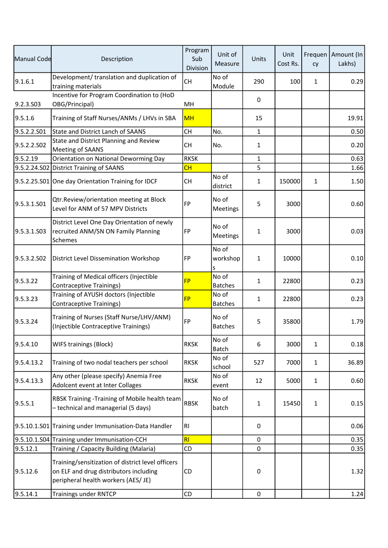| Manual Code | Description                                                                                                                        | Program<br>Sub<br>Division | Unit of<br>Measure      | Units        | Unit<br>Cost Rs. | cy           | Frequen   Amount (In<br>Lakhs) |
|-------------|------------------------------------------------------------------------------------------------------------------------------------|----------------------------|-------------------------|--------------|------------------|--------------|--------------------------------|
| 9.1.6.1     | Development/ translation and duplication of<br>training materials                                                                  | <b>CH</b>                  | No of<br>Module         | 290          | 100              | 1            | 0.29                           |
| 9.2.3.S03   | Incentive for Program Coordination to (HoD<br>OBG/Principal)                                                                       | MH                         |                         | 0            |                  |              |                                |
| 9.5.1.6     | Training of Staff Nurses/ANMs / LHVs in SBA                                                                                        | <b>MH</b>                  |                         | 15           |                  |              | 19.91                          |
| 9.5.2.2.S01 | <b>State and District Lanch of SAANS</b>                                                                                           | <b>CH</b>                  | No.                     | $\mathbf{1}$ |                  |              | 0.50                           |
| 9.5.2.2.S02 | State and District Planning and Review<br><b>Meeting of SAANS</b>                                                                  | <b>CH</b>                  | No.                     | $\mathbf{1}$ |                  |              | 0.20                           |
| 9.5.2.19    | Orientation on National Deworming Day                                                                                              | <b>RKSK</b>                |                         | $\mathbf{1}$ |                  |              | 0.63                           |
|             | 9.5.2.24.S02 District Training of SAANS                                                                                            | CH                         |                         | 5            |                  |              | 1.66                           |
|             | 9.5.2.25.S01 One day Orientation Training for IDCF                                                                                 | <b>CH</b>                  | No of<br>district       | $\mathbf{1}$ | 150000           | $\mathbf{1}$ | 1.50                           |
| 9.5.3.1.S01 | Qtr.Review/orientation meeting at Block<br>Level for ANM of 57 MPV Districts                                                       | FP                         | No of<br>Meetings       | 5            | 3000             |              | 0.60                           |
| 9.5.3.1.S03 | District Level One Day Orientation of newly<br>recruited ANM/SN ON Family Planning<br>Schemes                                      | <b>FP</b>                  | No of<br>Meetings       | $\mathbf{1}$ | 3000             |              | 0.03                           |
| 9.5.3.2.SO2 | District Level Dissemination Workshop                                                                                              | <b>FP</b>                  | No of<br>workshop<br>s  | $\mathbf{1}$ | 10000            |              | 0.10                           |
| 9.5.3.22    | Training of Medical officers (Injectible<br><b>Contraceptive Trainings)</b>                                                        | <b>FP</b>                  | No of<br><b>Batches</b> | $\mathbf{1}$ | 22800            |              | 0.23                           |
| 9.5.3.23    | Training of AYUSH doctors (Injectible<br>Contraceptive Trainings)                                                                  | <b>FP</b>                  | No of<br><b>Batches</b> | $\mathbf{1}$ | 22800            |              | 0.23                           |
| 9.5.3.24    | Training of Nurses (Staff Nurse/LHV/ANM)<br>(Injectible Contraceptive Trainings)                                                   | FP                         | No of<br><b>Batches</b> | 5            | 35800            |              | 1.79                           |
| 9.5.4.10    | <b>WIFS trainings (Block)</b>                                                                                                      | <b>RKSK</b>                | No of<br><b>Batch</b>   | 6            | 3000             | 1            | 0.18                           |
| 9.5.4.13.2  | Training of two nodal teachers per school                                                                                          | <b>RKSK</b>                | No of<br>school         | 527          | 7000             | 1            | 36.89                          |
| 9.5.4.13.3  | Any other (please specify) Anemia Free<br>Adolcent event at Inter Collages                                                         | <b>RKSK</b>                | No of<br>event          | 12           | 5000             | $\mathbf{1}$ | 0.60                           |
| 9.5.5.1     | RBSK Training -Training of Mobile health team<br>- technical and managerial (5 days)                                               | <b>RBSK</b>                | No of<br>batch          | 1            | 15450            | 1            | 0.15                           |
|             | 9.5.10.1.S01 Training under Immunisation-Data Handler                                                                              | RI.                        |                         | 0            |                  |              | 0.06                           |
|             | 9.5.10.1.S04 Training under Immunisation-CCH                                                                                       | R <sub>l</sub>             |                         | 0            |                  |              | 0.35                           |
| 9.5.12.1    | Training / Capacity Building (Malaria)                                                                                             | <b>CD</b>                  |                         | 0            |                  |              | 0.35                           |
| 9.5.12.6    | Training/sensitization of district level officers<br>on ELF and drug distributors including<br>peripheral health workers (AES/ JE) | <b>CD</b>                  |                         | 0            |                  |              | 1.32                           |
| 9.5.14.1    | <b>Trainings under RNTCP</b>                                                                                                       | <b>CD</b>                  |                         | $\mathbf 0$  |                  |              | 1.24                           |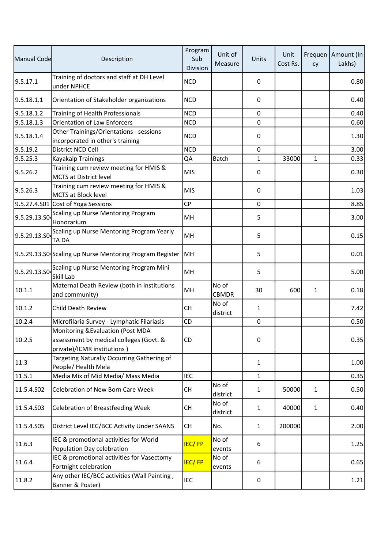| Manual Code  | Description                                                                                                 | Program<br>Sub<br>Division | Unit of<br>Measure    | Units        | Unit<br>Cost Rs. | cy           | Frequen   Amount (In<br>Lakhs) |
|--------------|-------------------------------------------------------------------------------------------------------------|----------------------------|-----------------------|--------------|------------------|--------------|--------------------------------|
| 9.5.17.1     | Training of doctors and staff at DH Level<br>under NPHCE                                                    | <b>NCD</b>                 |                       | 0            |                  |              | 0.80                           |
| 9.5.18.1.1   | Orientation of Stakeholder organizations                                                                    | <b>NCD</b>                 |                       | 0            |                  |              | 0.40                           |
| 9.5.18.1.2   | Training of Health Professionals                                                                            | <b>NCD</b>                 |                       | $\mathbf 0$  |                  |              | 0.40                           |
| 9.5.18.1.3   | <b>Orientation of Law Enforcers</b>                                                                         | <b>NCD</b>                 |                       | $\mathbf 0$  |                  |              | 0.60                           |
| 9.5.18.1.4   | Other Trainings/Orientations - sessions<br>incorporated in other's training                                 | <b>NCD</b>                 |                       | 0            |                  |              | 1.30                           |
| 9.5.19.2     | District NCD Cell                                                                                           | <b>NCD</b>                 |                       | $\pmb{0}$    |                  |              | 3.00                           |
| 9.5.25.3     | Kayakalp Trainings                                                                                          | QA                         | Batch                 | $\mathbf{1}$ | 33000            | 1            | 0.33                           |
| 9.5.26.2     | Training cum review meeting for HMIS &<br><b>MCTS at District level</b>                                     | <b>MIS</b>                 |                       | 0            |                  |              | 0.30                           |
| 9.5.26.3     | Training cum review meeting for HMIS &<br><b>MCTS at Block level</b>                                        | <b>MIS</b>                 |                       | 0            |                  |              | 1.03                           |
|              | 9.5.27.4.S01 Cost of Yoga Sessions                                                                          | <b>CP</b>                  |                       | $\mathbf 0$  |                  |              | 8.85                           |
| 9.5.29.13.S0 | Scaling up Nurse Mentoring Program<br>Honorarium                                                            | MH                         |                       | 5            |                  |              | 3.00                           |
| 9.5.29.13.SO | Scaling up Nurse Mentoring Program Yearly<br>TA DA                                                          | MH                         |                       | 5            |                  |              | 0.15                           |
|              | 9.5.29.13.S0 Scaling up Nurse Mentoring Program Register                                                    | MH                         |                       | 5            |                  |              | 0.01                           |
| 9.5.29.13.SO | Scaling up Nurse Mentoring Program Mini<br>Skill Lab                                                        | MH                         |                       | 5            |                  |              | 5.00                           |
| 10.1.1       | Maternal Death Review (both in institutions<br>and community)                                               | MH                         | No of<br><b>CBMDR</b> | 30           | 600              | $\mathbf{1}$ | 0.18                           |
| 10.1.2       | <b>Child Death Review</b>                                                                                   | <b>CH</b>                  | No of<br>district     | $\mathbf{1}$ |                  |              | 7.42                           |
| 10.2.4       | Microfilaria Survey - Lymphatic Filariasis                                                                  | CD                         |                       | 0            |                  |              | 0.50                           |
| 10.2.5       | Monitoring & Evaluation (Post MDA<br>assessment by medical colleges (Govt. &<br>private)/ICMR institutions) | <b>CD</b>                  |                       | 0            |                  |              | 0.35                           |
| 11.3         | Targeting Naturally Occurring Gathering of<br>People/ Health Mela                                           |                            |                       | $\mathbf{1}$ |                  |              | 1.00                           |
| 11.5.1       | Media Mix of Mid Media/ Mass Media                                                                          | <b>IEC</b>                 |                       | $\mathbf{1}$ |                  |              | 0.35                           |
| 11.5.4.S02   | Celebration of New Born Care Week                                                                           | <b>CH</b>                  | No of<br>district     | $\mathbf{1}$ | 50000            | 1            | 0.50                           |
| 11.5.4.S03   | Celebration of Breastfeeding Week                                                                           | <b>CH</b>                  | No of<br>district     | $\mathbf{1}$ | 40000            | 1            | 0.40                           |
| 11.5.4.S05   | District Level IEC/BCC Activity Under SAANS                                                                 | <b>CH</b>                  | No.                   | $\mathbf{1}$ | 200000           |              | 2.00                           |
| 11.6.3       | IEC & promotional activities for World<br>Population Day celebration                                        | <b>IEC/FP</b>              | No of<br>events       | 6            |                  |              | 1.25                           |
| 11.6.4       | IEC & promotional activities for Vasectomy<br>Fortnight celebration                                         | <b>IEC/FP</b>              | No of<br>events       | 6            |                  |              | 0.65                           |
| 11.8.2       | Any other IEC/BCC activities (Wall Painting,<br>Banner & Poster)                                            | <b>IEC</b>                 |                       | 0            |                  |              | 1.21                           |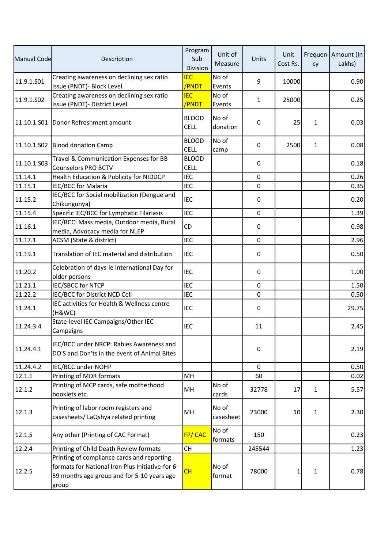| Manual Code | Description                                                                                                                                           | Program<br>Sub<br>Division  | Unit of<br>Measure | Units            | Unit<br>Cost Rs. | cy           | Frequen   Amount (In<br>Lakhs) |
|-------------|-------------------------------------------------------------------------------------------------------------------------------------------------------|-----------------------------|--------------------|------------------|------------------|--------------|--------------------------------|
| 11.9.1.S01  | Creating awareness on declining sex ratio<br>issue (PNDT)- Block Level                                                                                | <b>IEC</b><br>/PNDT         | No of<br>Events    | 9                | 10000            |              | 0.90                           |
| 11.9.1.SO2  | Creating awareness on declining sex ratio<br>issue (PNDT)- District Level                                                                             | <b>IEC</b><br>/PNDT         | No of<br>Events    | $\mathbf{1}$     | 25000            |              | 0.25                           |
|             | 11.10.1.S01 Donor Refreshment amount                                                                                                                  | <b>BLOOD</b><br><b>CELL</b> | No of<br>donation  | 0                | 25               | 1            | 0.03                           |
|             | 11.10.1.S02 Blood donation Camp                                                                                                                       | <b>BLOOD</b><br>CELL        | No of<br>camp      | 0                | 2500             | $\mathbf{1}$ | 0.08                           |
| 11.10.1.503 | Travel & Communication Expenses for BB<br><b>Counselors PRO BCTV</b>                                                                                  | <b>BLOOD</b><br><b>CELL</b> |                    | 0                |                  |              | 0.18                           |
| 11.14.1     | Health Education & Publicity for NIDDCP                                                                                                               | <b>IEC</b>                  |                    | $\mathbf 0$      |                  |              | 0.26                           |
| 11.15.1     | <b>IEC/BCC for Malaria</b>                                                                                                                            | <b>IEC</b>                  |                    | 0                |                  |              | 0.35                           |
| 11.15.2     | IEC/BCC for Social mobilization (Dengue and<br>Chikungunya)                                                                                           | <b>IEC</b>                  |                    | 0                |                  |              | 0.20                           |
| 11.15.4     | Specific IEC/BCC for Lymphatic Filariasis                                                                                                             | <b>IEC</b>                  |                    | 0                |                  |              | 1.39                           |
| 11.16.1     | IEC/BCC: Mass media, Outdoor media, Rural<br>media, Advocacy media for NLEP                                                                           | CD                          |                    | 0                |                  |              | 0.98                           |
| 11.17.1     | ACSM (State & district)                                                                                                                               | <b>IEC</b>                  |                    | $\mathbf 0$      |                  |              | 2.96                           |
| 11.19.1     | Translation of IEC material and distribution                                                                                                          | <b>IEC</b>                  |                    | 0                |                  |              | 0.50                           |
| 11.20.2     | Celebration of days-ie International Day for<br>older persons                                                                                         | <b>IEC</b>                  |                    | 0                |                  |              | 1.00                           |
| 11.21.1     | <b>IEC/SBCC for NTCP</b>                                                                                                                              | <b>IEC</b>                  |                    | 0                |                  |              | 1.50                           |
| 11.22.2     | IEC/BCC for District NCD Cell                                                                                                                         | <b>IEC</b>                  |                    | $\boldsymbol{0}$ |                  |              | 0.50                           |
| 11.24.1     | IEC activities for Health & Wellness centre<br>(H&WC)                                                                                                 | <b>IEC</b>                  |                    | 0                |                  |              | 29.75                          |
| 11.24.3.4   | State-level IEC Campaigns/Other IEC<br>Campaigns                                                                                                      | <b>IEC</b>                  |                    | 11               |                  |              | 2.45                           |
| 11.24.4.1   | IEC/BCC under NRCP: Rabies Awareness and<br>DO'S and Don'ts in the event of Animal Bites                                                              |                             |                    | 0                |                  |              | 2.19                           |
| 11.24.4.2   | IEC/BCC under NOHP                                                                                                                                    |                             |                    | $\mathbf 0$      |                  |              | 0.50                           |
| 12.1.1      | Printing of MDR formats                                                                                                                               | MH                          |                    | 60               |                  |              | 0.02                           |
| 12.1.2      | Printing of MCP cards, safe motherhood<br>booklets etc.                                                                                               | MH                          | No of<br>cards     | 32778            | 17               | $\mathbf{1}$ | 5.57                           |
| 12.1.3      | Printing of labor room registers and<br>casesheets/ LaQshya related printing                                                                          | MH                          | No of<br>casesheet | 23000            | 10               | $\mathbf{1}$ | 2.30                           |
| 12.1.5      | Any other (Printing of CAC Format)                                                                                                                    | <b>FP/CAC</b>               | No of<br>formats   | 150              |                  |              | 0.23                           |
| 12.2.4      | Printing of Child Death Review formats                                                                                                                | <b>CH</b>                   |                    | 245544           |                  |              | 1.23                           |
| 12.2.5      | Printing of compliance cards and reporting<br>formats for National Iron Plus Initiative-for 6-<br>59 months age group and for 5-10 years age<br>group | CH                          | No of<br>format    | 78000            | 1                | 1            | 0.78                           |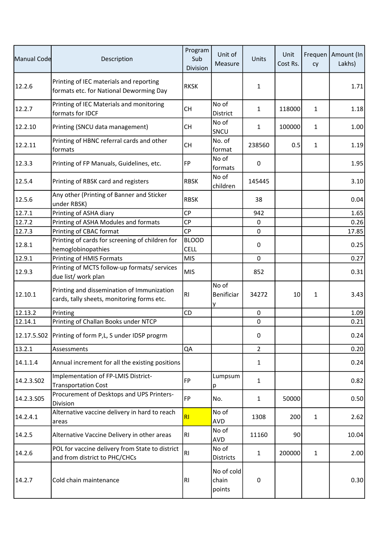| Manual Code | Description                                                                              | Program<br>Sub<br>Division  | Unit of<br>Measure            | Units          | Unit<br>Cost Rs. | cy           | Frequen   Amount (In<br>Lakhs) |
|-------------|------------------------------------------------------------------------------------------|-----------------------------|-------------------------------|----------------|------------------|--------------|--------------------------------|
| 12.2.6      | Printing of IEC materials and reporting<br>formats etc. for National Deworming Day       | <b>RKSK</b>                 |                               | $\mathbf{1}$   |                  |              | 1.71                           |
| 12.2.7      | Printing of IEC Materials and monitoring<br>formats for IDCF                             | <b>CH</b>                   | No of<br>District             | $\mathbf{1}$   | 118000           | 1            | 1.18                           |
| 12.2.10     | Printing (SNCU data management)                                                          | <b>CH</b>                   | No of<br>SNCU                 | $\mathbf{1}$   | 100000           | $\mathbf{1}$ | 1.00                           |
| 12.2.11     | Printing of HBNC referral cards and other<br>formats                                     | <b>CH</b>                   | No. of<br>format              | 238560         | 0.5              | 1            | 1.19                           |
| 12.3.3      | Printing of FP Manuals, Guidelines, etc.                                                 | FP                          | No of<br>formats              | 0              |                  |              | 1.95                           |
| 12.5.4      | Printing of RBSK card and registers                                                      | <b>RBSK</b>                 | No of<br>children             | 145445         |                  |              | 3.10                           |
| 12.5.6      | Any other (Printing of Banner and Sticker<br>under RBSK)                                 | <b>RBSK</b>                 |                               | 38             |                  |              | 0.04                           |
| 12.7.1      | Printing of ASHA diary                                                                   | <b>CP</b>                   |                               | 942            |                  |              | 1.65                           |
| 12.7.2      | Printing of ASHA Modules and formats                                                     | CP                          |                               | $\pmb{0}$      |                  |              | 0.26                           |
| 12.7.3      | Printing of CBAC format                                                                  | <b>CP</b>                   |                               | $\mathbf 0$    |                  |              | 17.85                          |
| 12.8.1      | Printing of cards for screening of children for<br>hemoglobinopathies                    | <b>BLOOD</b><br><b>CELL</b> |                               | 0              |                  |              | 0.25                           |
| 12.9.1      | Printing of HMIS Formats                                                                 | <b>MIS</b>                  |                               | $\mathbf 0$    |                  |              | 0.27                           |
| 12.9.3      | Printing of MCTS follow-up formats/ services<br>due list/ work plan                      | <b>MIS</b>                  |                               | 852            |                  |              | 0.31                           |
| 12.10.1     | Printing and dissemination of Immunization<br>cards, tally sheets, monitoring forms etc. | RI                          | No of<br>Benificiar<br>y      | 34272          | 10               | 1            | 3.43                           |
| 12.13.2     | Printing                                                                                 | <b>CD</b>                   |                               | 0              |                  |              | 1.09                           |
| 12.14.1     | Printing of Challan Books under NTCP                                                     |                             |                               | $\pmb{0}$      |                  |              | 0.21                           |
|             | 12.17.5.S02   Printing of form P,L, S under IDSP progrm                                  |                             |                               | 0              |                  |              | 0.24                           |
| 13.2.1      | Assessments                                                                              | QA                          |                               | $\overline{2}$ |                  |              | 0.20                           |
| 14.1.1.4    | Annual increment for all the existing positions                                          |                             |                               | $\mathbf{1}$   |                  |              | 0.24                           |
| 14.2.3.502  | Implementation of FP-LMIS District-<br><b>Transportation Cost</b>                        | FP                          | Lumpsum<br>p                  | $\mathbf{1}$   |                  |              | 0.82                           |
| 14.2.3.S05  | Procurement of Desktops and UPS Printers-<br>Division                                    | FP                          | No.                           | $\mathbf{1}$   | 50000            |              | 0.50                           |
| 14.2.4.1    | Alternative vaccine delivery in hard to reach<br>areas                                   | R1                          | No of<br>AVD                  | 1308           | 200              | 1            | 2.62                           |
| 14.2.5      | Alternative Vaccine Delivery in other areas                                              | RI                          | No of<br><b>AVD</b>           | 11160          | 90               |              | 10.04                          |
| 14.2.6      | POL for vaccine delivery from State to district<br>and from district to PHC/CHCs         | RI                          | No of<br><b>Districts</b>     | $\mathbf{1}$   | 200000           | $\mathbf{1}$ | 2.00                           |
| 14.2.7      | Cold chain maintenance                                                                   | R <sub>l</sub>              | No of cold<br>chain<br>points | 0              |                  |              | 0.30                           |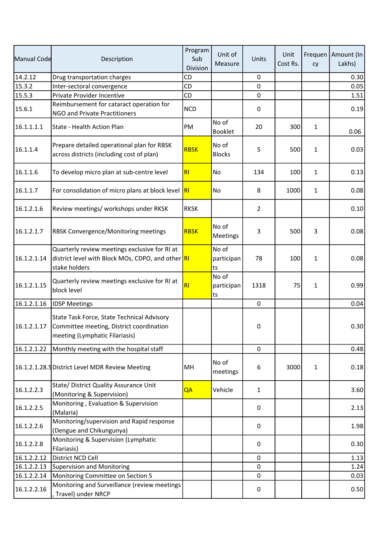| Manual Code | Description                                                                                                              | Program<br>Sub<br>Division | Unit of<br>Measure        | Units          | Unit<br>Cost Rs. | cy           | Frequen   Amount (In<br>Lakhs) |
|-------------|--------------------------------------------------------------------------------------------------------------------------|----------------------------|---------------------------|----------------|------------------|--------------|--------------------------------|
| 14.2.12     | Drug transportation charges                                                                                              | CD                         |                           | 0              |                  |              | 0.30                           |
| 15.3.2      | Inter-sectoral convergence                                                                                               | CD                         |                           | $\mathbf 0$    |                  |              | 0.05                           |
| 15.5.3      | Private Provider Incentive                                                                                               | CD                         |                           | $\pmb{0}$      |                  |              | 1.51                           |
| 15.6.1      | Reimbursement for cataract operation for<br>NGO and Private Practitioners                                                | <b>NCD</b>                 |                           | 0              |                  |              | 0.19                           |
| 16.1.1.1.1  | State - Health Action Plan                                                                                               | PM                         | No of<br><b>Booklet</b>   | 20             | 300              | 1            | 0.06                           |
| 16.1.1.4    | Prepare detailed operational plan for RBSK<br>across districts (including cost of plan)                                  | <b>RBSK</b>                | No of<br><b>Blocks</b>    | 5              | 500              | 1            | 0.03                           |
| 16.1.1.6    | To develop micro plan at sub-centre level                                                                                | RI                         | No                        | 134            | 100              | 1            | 0.13                           |
| 16.1.1.7    | For consolidation of micro plans at block level                                                                          | R                          | No                        | 8              | 1000             | 1            | 0.08                           |
| 16.1.2.1.6  | Review meetings/ workshops under RKSK                                                                                    | <b>RKSK</b>                |                           | $\overline{2}$ |                  |              | 0.10                           |
| 16.1.2.1.7  | <b>RBSK Convergence/Monitoring meetings</b>                                                                              | <b>RBSK</b>                | No of<br>Meetings         | 3              | 500              | 3            | 0.08                           |
| 16.1.2.1.14 | Quarterly review meetings exclusive for RI at<br>district level with Block MOs, CDPO, and other RI<br>stake holders      |                            | No of<br>participan<br>ts | 78             | 100              | 1            | 0.08                           |
| 16.1.2.1.15 | Quarterly review meetings exclusive for RI at<br>block level                                                             | RI                         | No of<br>participan<br>ts | 1318           | 75               | 1            | 0.99                           |
| 16.1.2.1.16 | <b>IDSP Meetings</b>                                                                                                     |                            |                           | $\pmb{0}$      |                  |              | 0.04                           |
| 16.1.2.1.17 | State Task Force, State Technical Advisory<br>Committee meeting, District coordination<br>meeting (Lymphatic Filariasis) |                            |                           | 0              |                  |              | 0.30                           |
| 16.1.2.1.22 | Monthly meeting with the hospital staff                                                                                  |                            |                           | $\mathbf 0$    |                  |              | 0.48                           |
|             | 16.1.2.1.28. SDistrict Level MDR Review Meeting                                                                          | MH                         | No of<br>meetings         | 6              | 3000             | $\mathbf{1}$ | 0.18                           |
| 16.1.2.2.3  | State/ District Quality Assurance Unit<br>(Monitoring & Supervision)                                                     | QA                         | Vehicle                   | $\mathbf{1}$   |                  |              | 3.60                           |
| 16.1.2.2.5  | Monitoring, Evaluation & Supervision<br>(Malaria)                                                                        |                            |                           | 0              |                  |              | 2.13                           |
| 16.1.2.2.6  | Monitoring/supervision and Rapid response<br>(Dengue and Chikungunya)                                                    |                            |                           | 0              |                  |              | 1.98                           |
| 16.1.2.2.8  | Monitoring & Supervision (Lymphatic<br>Filariasis)                                                                       |                            |                           | 0              |                  |              | 0.30                           |
| 16.1.2.2.12 | District NCD Cell                                                                                                        |                            |                           | $\mathbf 0$    |                  |              | 1.13                           |
| 16.1.2.2.13 | Supervision and Monitoring                                                                                               |                            |                           | 0              |                  |              | 1.24                           |
| 16.1.2.2.14 | Monitoring Committee on Section 5                                                                                        |                            |                           | 0              |                  |              | 0.03                           |
| 16.1.2.2.16 | Monitoring and Surveillance (review meetings<br>, Travel) under NRCP                                                     |                            |                           | 0              |                  |              | 0.50                           |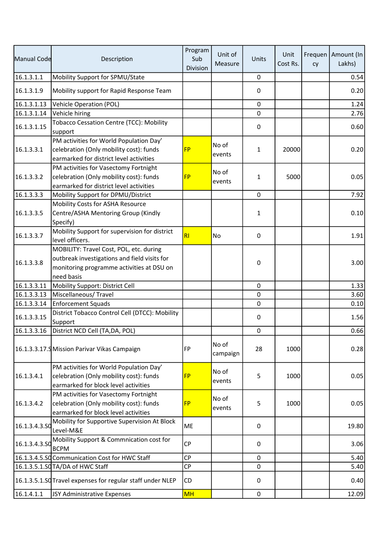| Manual Code   | Description                                                                                                                                        | Program<br>Sub<br>Division | Unit of<br>Measure | Units        | Unit<br>Cost Rs. | cy | Frequen   Amount (In<br>Lakhs) |
|---------------|----------------------------------------------------------------------------------------------------------------------------------------------------|----------------------------|--------------------|--------------|------------------|----|--------------------------------|
| 16.1.3.1.1    | Mobility Support for SPMU/State                                                                                                                    |                            |                    | $\pmb{0}$    |                  |    | 0.54                           |
| 16.1.3.1.9    | Mobility support for Rapid Response Team                                                                                                           |                            |                    | 0            |                  |    | 0.20                           |
| 16.1.3.1.13   | <b>Vehicle Operation (POL)</b>                                                                                                                     |                            |                    | $\pmb{0}$    |                  |    | 1.24                           |
| 16.1.3.1.14   | Vehicle hiring                                                                                                                                     |                            |                    | $\mathbf 0$  |                  |    | 2.76                           |
| 16.1.3.1.15   | Tobacco Cessation Centre (TCC): Mobility<br>support                                                                                                |                            |                    | 0            |                  |    | 0.60                           |
| 16.1.3.3.1    | PM activities for World Population Day'<br>celebration (Only mobility cost): funds<br>earmarked for district level activities                      | <b>FP</b>                  | No of<br>events    | 1            | 20000            |    | 0.20                           |
| 16.1.3.3.2    | PM activities for Vasectomy Fortnight<br>celebration (Only mobility cost): funds<br>earmarked for district level activities                        | <b>FP</b>                  | No of<br>events    | 1            | 5000             |    | 0.05                           |
| 16.1.3.3.3    | Mobility Support for DPMU/District                                                                                                                 |                            |                    | $\mathbf 0$  |                  |    | 7.92                           |
| 16.1.3.3.5    | Mobility Costs for ASHA Resource<br>Centre/ASHA Mentoring Group (Kindly<br>Specify)                                                                |                            |                    | $\mathbf{1}$ |                  |    | 0.10                           |
| 16.1.3.3.7    | Mobility Support for supervision for district<br>level officers.                                                                                   | R <sub>l</sub>             | No                 | 0            |                  |    | 1.91                           |
| 16.1.3.3.8    | MOBILITY: Travel Cost, POL, etc. during<br>outbreak investigations and field visits for<br>monitoring programme activities at DSU on<br>need basis |                            |                    | 0            |                  |    | 3.00                           |
| 16.1.3.3.11   | Mobility Support: District Cell                                                                                                                    |                            |                    | $\mathbf 0$  |                  |    | 1.33                           |
| 16.1.3.3.13   | Miscellaneous/Travel                                                                                                                               |                            |                    | $\pmb{0}$    |                  |    | 3.60                           |
| 16.1.3.3.14   | <b>Enforcement Squads</b>                                                                                                                          |                            |                    | $\mathbf 0$  |                  |    | 0.10                           |
| 16.1.3.3.15   | District Tobacco Control Cell (DTCC): Mobility<br>Support                                                                                          |                            |                    | 0            |                  |    | 1.56                           |
| 16.1.3.3.16   | District NCD Cell (TA, DA, POL)                                                                                                                    |                            |                    | $\pmb{0}$    |                  |    | 0.66                           |
|               | 16.1.3.3.17.9 Mission Parivar Vikas Campaign                                                                                                       | FP                         | No of<br>campaign  | 28           | 1000             |    | 0.28                           |
| 16.1.3.4.1    | PM activities for World Population Day'<br>celebration (Only mobility cost): funds<br>earmarked for block level activities                         | <b>FP</b>                  | No of<br>events    | 5            | 1000             |    | 0.05                           |
| 16.1.3.4.2    | PM activities for Vasectomy Fortnight<br>celebration (Only mobility cost): funds<br>earmarked for block level activities                           | <b>FP</b>                  | No of<br>events    | 5            | 1000             |    | 0.05                           |
| 16.1.3.4.3.50 | Mobility for Supportive Supervision At Block<br>Level-M&E                                                                                          | <b>ME</b>                  |                    | 0            |                  |    | 19.80                          |
| 16.1.3.4.3.50 | Mobility Support & Commnication cost for<br><b>BCPM</b>                                                                                            | <b>CP</b>                  |                    | 0            |                  |    | 3.06                           |
|               | 16.1.3.4.5.SQ Communication Cost for HWC Staff                                                                                                     | <b>CP</b>                  |                    | $\mathbf 0$  |                  |    | 5.40                           |
|               | 16.1.3.5.1.SQ TA/DA of HWC Staff                                                                                                                   | CP                         |                    | 0            |                  |    | 5.40                           |
|               | 16.1.3.5.1.SO Travel expenses for regular staff under NLEP                                                                                         | <b>CD</b>                  |                    | 0            |                  |    | 0.40                           |
| 16.1.4.1.1    | JSY Administrative Expenses                                                                                                                        | <b>MH</b>                  |                    | $\mathbf 0$  |                  |    | 12.09                          |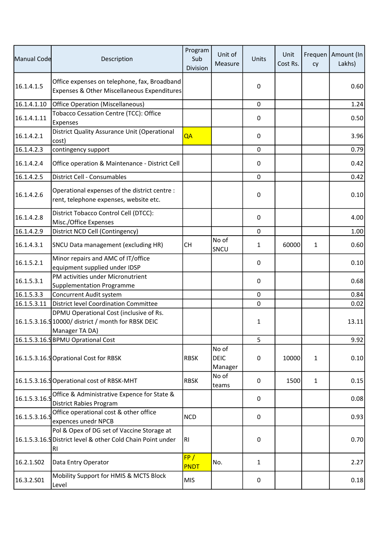| Manual Code   | Description                                                                                                      | Program<br>Sub<br>Division | Unit of<br>Measure              | Units        | Unit<br>Cost Rs. | cy           | Frequen   Amount (In<br>Lakhs) |
|---------------|------------------------------------------------------------------------------------------------------------------|----------------------------|---------------------------------|--------------|------------------|--------------|--------------------------------|
| 16.1.4.1.5    | Office expenses on telephone, fax, Broadband<br>Expenses & Other Miscellaneous Expenditures                      |                            |                                 | 0            |                  |              | 0.60                           |
| 16.1.4.1.10   | <b>Office Operation (Miscellaneous)</b>                                                                          |                            |                                 | 0            |                  |              | 1.24                           |
| 16.1.4.1.11   | Tobacco Cessation Centre (TCC): Office<br>Expenses                                                               |                            |                                 | 0            |                  |              | 0.50                           |
| 16.1.4.2.1    | District Quality Assurance Unit (Operational<br>cost)                                                            | QA                         |                                 | 0            |                  |              | 3.96                           |
| 16.1.4.2.3    | contingency support                                                                                              |                            |                                 | $\mathbf 0$  |                  |              | 0.79                           |
| 16.1.4.2.4    | Office operation & Maintenance - District Cell                                                                   |                            |                                 | 0            |                  |              | 0.42                           |
| 16.1.4.2.5    | District Cell - Consumables                                                                                      |                            |                                 | $\mathbf 0$  |                  |              | 0.42                           |
| 16.1.4.2.6    | Operational expenses of the district centre :<br>rent, telephone expenses, website etc.                          |                            |                                 | 0            |                  |              | 0.10                           |
| 16.1.4.2.8    | District Tobacco Control Cell (DTCC):<br>Misc./Office Expenses                                                   |                            |                                 | 0            |                  |              | 4.00                           |
| 16.1.4.2.9    | District NCD Cell (Contingency)                                                                                  |                            |                                 | $\mathbf 0$  |                  |              | 1.00                           |
| 16.1.4.3.1    | SNCU Data management (excluding HR)                                                                              | <b>CH</b>                  | No of<br>SNCU                   | $\mathbf{1}$ | 60000            | $\mathbf{1}$ | 0.60                           |
| 16.1.5.2.1    | Minor repairs and AMC of IT/office<br>equipment supplied under IDSP                                              |                            |                                 | 0            |                  |              | 0.10                           |
| 16.1.5.3.1    | PM activities under Micronutrient<br><b>Supplementation Programme</b>                                            |                            |                                 | 0            |                  |              | 0.68                           |
| 16.1.5.3.3    | Concurrent Audit system                                                                                          |                            |                                 | $\pmb{0}$    |                  |              | 0.84                           |
| 16.1.5.3.11   | District level Coordination Committee                                                                            |                            |                                 | 0            |                  |              | 0.02                           |
|               | DPMU Operational Cost (inclusive of Rs.<br>16.1.5.3.16.9 10000/ district / month for RBSK DEIC<br>Manager TA DA) |                            |                                 | 1            |                  |              | 13.11                          |
|               | 16.1.5.3.16.SBPMU Oprational Cost                                                                                |                            |                                 | 5            |                  |              | 9.92                           |
|               | 16.1.5.3.16.S Oprational Cost for RBSK                                                                           | <b>RBSK</b>                | No of<br><b>DEIC</b><br>Manager | 0            | 10000            | 1            | 0.10                           |
|               | 16.1.5.3.16.SOperational cost of RBSK-MHT                                                                        | <b>RBSK</b>                | No of<br>teams                  | 0            | 1500             | 1            | 0.15                           |
| 16.1.5.3.16.9 | Office & Administrative Expence for State &<br><b>District Rabies Program</b>                                    |                            |                                 | 0            |                  |              | 0.08                           |
| 16.1.5.3.16.9 | Office operational cost & other office<br>expences unedr NPCB                                                    | <b>NCD</b>                 |                                 | 0            |                  |              | 0.93                           |
|               | Pol & Opex of DG set of Vaccine Storage at<br>16.1.5.3.16. SDistrict level & other Cold Chain Point under<br>RI  | RI.                        |                                 | 0            |                  |              | 0.70                           |
| 16.2.1.SO2    | Data Entry Operator                                                                                              | FP/<br><b>PNDT</b>         | No.                             | 1            |                  |              | 2.27                           |
| 16.3.2.S01    | Mobility Support for HMIS & MCTS Block<br>Level                                                                  | <b>MIS</b>                 |                                 | 0            |                  |              | 0.18                           |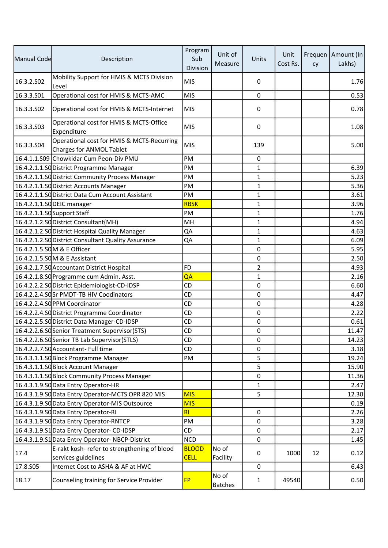| Manual Code | Description                                                                   | Program<br>Sub<br>Division | Unit of<br>Measure      | Units            | Unit<br>Cost Rs. | cy | Frequen   Amount (In<br>Lakhs) |
|-------------|-------------------------------------------------------------------------------|----------------------------|-------------------------|------------------|------------------|----|--------------------------------|
| 16.3.2.S02  | Mobility Support for HMIS & MCTS Division<br>Level                            | <b>MIS</b>                 |                         | 0                |                  |    | 1.76                           |
| 16.3.3.S01  | Operational cost for HMIS & MCTS-AMC                                          | <b>MIS</b>                 |                         | 0                |                  |    | 0.53                           |
| 16.3.3.502  | Operational cost for HMIS & MCTS-Internet                                     | <b>MIS</b>                 |                         | 0                |                  |    | 0.78                           |
| 16.3.3.503  | Operational cost for HMIS & MCTS-Office<br>Expenditure                        | <b>MIS</b>                 |                         | 0                |                  |    | 1.08                           |
| 16.3.3.504  | Operational cost for HMIS & MCTS-Recurring<br><b>Charges for ANMOL Tablet</b> | <b>MIS</b>                 |                         | 139              |                  |    | 5.00                           |
|             | 16.4.1.1.S09 Chowkidar Cum Peon-Div PMU                                       | PM                         |                         | 0                |                  |    |                                |
|             | 16.4.2.1.1.SO District Programme Manager                                      | PM                         |                         | $\mathbf{1}$     |                  |    | 6.39                           |
|             | 16.4.2.1.1.SO District Community Process Manager                              | PM                         |                         | $\mathbf{1}$     |                  |    | 5.23                           |
|             | 16.4.2.1.1.SO District Accounts Manager                                       | PM                         |                         | 1                |                  |    | 5.36                           |
|             | 16.4.2.1.1.SQ District Data Cum Account Assistant                             | PM                         |                         | 1                |                  |    | 3.61                           |
|             | 16.4.2.1.1.SO DEIC manager                                                    | <b>RBSK</b>                |                         | 1                |                  |    | 3.96                           |
|             | 16.4.2.1.1.SO Support Staff                                                   | PM                         |                         | 1                |                  |    | 1.76                           |
|             | 16.4.2.1.2.SO District Consultant (MH)                                        | MH                         |                         | $\mathbf{1}$     |                  |    | 4.94                           |
|             | 16.4.2.1.2.SO District Hospital Quality Manager                               | QA                         |                         | 1                |                  |    | 4.63                           |
|             | 16.4.2.1.2.SQ District Consultant Quality Assurance                           | QA                         |                         | $\mathbf{1}$     |                  |    | 6.09                           |
|             | 16.4.2.1.5.SOM & E Officer                                                    |                            |                         | $\mathbf 0$      |                  |    | 5.95                           |
|             | 16.4.2.1.5.SOM & E Assistant                                                  |                            |                         | 0                |                  |    | 2.50                           |
|             | 16.4.2.1.7.SO Accountant District Hospital                                    | FD                         |                         | $\overline{2}$   |                  |    | 4.93                           |
|             | 16.4.2.1.8.SO Programme cum Admin. Asst.                                      | QA                         |                         | $\mathbf{1}$     |                  |    | 2.16                           |
|             | 16.4.2.2.2.SQ District Epidemiologist-CD-IDSP                                 | CD                         |                         | 0                |                  |    | 6.60                           |
|             | 16.4.2.2.4.SOSr PMDT-TB HIV Coodinators                                       | <b>CD</b>                  |                         | $\boldsymbol{0}$ |                  |    | 4.47                           |
|             | 16.4.2.2.4.SO PPM Coordinator                                                 | CD                         |                         | 0                |                  |    | 4.28                           |
|             | 16.4.2.2.4.SO District Programme Coordinator                                  | CD                         |                         | 0                |                  |    | 2.22                           |
|             | 16.4.2.2.5.SO District Data Manager-CD-IDSP                                   | CD                         |                         | 0                |                  |    | 0.61                           |
|             | 16.4.2.2.6.SC Senior Treatment Supervisor (STS)                               | CD                         |                         | 0                |                  |    | 11.47                          |
|             | 16.4.2.2.6.SO Senior TB Lab Supervisor(STLS)                                  | CD                         |                         | 0                |                  |    | 14.23                          |
|             | 16.4.2.2.7.SQ Accountant- Full time                                           | <b>CD</b>                  |                         | 0                |                  |    | 3.18                           |
|             | 16.4.3.1.1.SO Block Programme Manager                                         | PM                         |                         | 5                |                  |    | 19.24                          |
|             | 16.4.3.1.1.SO Block Account Manager                                           |                            |                         | 5                |                  |    | 15.90                          |
|             | 16.4.3.1.1.SO Block Community Process Manager                                 |                            |                         | 0                |                  |    | 11.36                          |
|             | 16.4.3.1.9.SO Data Entry Operator-HR                                          |                            |                         | 1                |                  |    | 2.47                           |
|             | 16.4.3.1.9.SQ Data Entry Operator-MCTS OPR 820 MIS                            | <b>MIS</b>                 |                         | 5                |                  |    | 12.30                          |
|             | 16.4.3.1.9.SO Data Entry Operator-MIS Outsource                               | <b>MIS</b>                 |                         |                  |                  |    | 0.19                           |
|             | 16.4.3.1.9.SO Data Entry Operator-RI                                          | <b>RI</b>                  |                         | 0                |                  |    | 2.26                           |
|             | 16.4.3.1.9.SO Data Entry Operator-RNTCP                                       | PM                         |                         | 0                |                  |    | 3.28                           |
|             | 16.4.3.1.9.S1 Data Entry Operator- CD-IDSP                                    | CD                         |                         | 0                |                  |    | 2.17                           |
|             | 16.4.3.1.9.51 Data Entry Operator-NBCP-District                               | <b>NCD</b>                 |                         | 0                |                  |    | 1.45                           |
| 17.4        | E-rakt kosh- refer to strengthening of blood                                  | <b>BLOOD</b>               | No of                   | 0                | 1000             | 12 | 0.12                           |
|             | services guidelines                                                           | <b>CELL</b>                | Facility                |                  |                  |    |                                |
| 17.8.S05    | Internet Cost to ASHA & AF at HWC                                             |                            |                         | 0                |                  |    | 6.43                           |
| 18.17       | Counseling training for Service Provider                                      | <b>FP</b>                  | No of<br><b>Batches</b> | 1                | 49540            |    | 0.50                           |